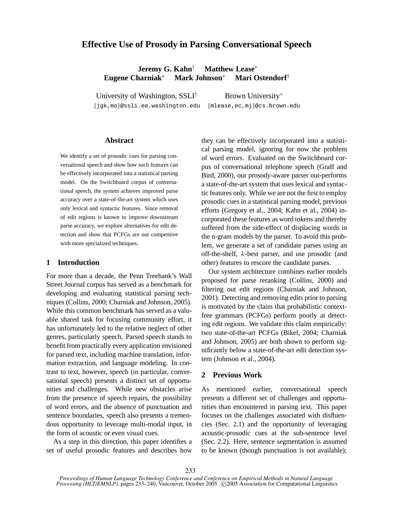# **Effective Use of Prosody in Parsing Conversational Speech**

**Jeremy G. Kahn**† **Matthew Lease**<sup>∗</sup> **Eugene Charniak**<sup>∗</sup> **Mark Johnson**<sup>∗</sup> **Mari Ostendorf**†

University of Washington, SSLI<sup>†</sup> Brown University<sup>∗</sup>

{jgk,mo}@ssli.ee.washington.edu {mlease,ec,mj}@cs.brown.edu

#### **Abstract**

We identify a set of prosodic cues for parsing conversational speech and show how such features can be effectively incorporated into a statistical parsing model. On the Switchboard corpus of conversational speech, the system achieves improved parse accuracy over a state-of-the-art system which uses only lexical and syntactic features. Since removal of edit regions is known to improve downstream parse accuracy, we explore alternatives for edit detection and show that PCFGs are not competitive with more specialized techniques.

# **1 Introduction**

For more than a decade, the Penn Treebank's Wall Street Journal corpus has served as a benchmark for developing and evaluating statistical parsing techniques (Collins, 2000; Charniak and Johnson, 2005). While this common benchmark has served as a valuable shared task for focusing community effort, it has unfortunately led to the relative neglect of other genres, particularly speech. Parsed speech stands to benefit from practically every application envisioned for parsed text, including machine translation, information extraction, and language modeling. In contrast to text, however, speech (in particular, conversational speech) presents a distinct set of opportunities and challenges. While new obstacles arise from the presence of speech repairs, the possibility of word errors, and the absence of punctuation and sentence boundaries, speech also presents a tremendous opportunity to leverage multi-modal input, in the form of acoustic or even visual cues.

As a step in this direction, this paper identifies a set of useful prosodic features and describes how they can be effectively incorporated into a statistical parsing model, ignoring for now the problem of word errors. Evaluated on the Switchboard corpus of conversational telephone speech (Graff and Bird, 2000), our prosody-aware parser out-performs a state-of-the-art system that uses lexical and syntactic features only. While we are not the first to employ prosodic cues in a statistical parsing model, previous efforts (Gregory et al., 2004; Kahn et al., 2004) incorporated these features as word tokens and thereby suffered from the side-effect of displacing words in the n-gram models by the parser. To avoid this problem, we generate a set of candidate parses using an off-the-shelf, k-best parser, and use prosodic (and other) features to rescore the candidate parses.

Our system architecture combines earlier models proposed for parse reranking (Collins, 2000) and filtering out edit regions (Charniak and Johnson, 2001). Detecting and removing edits prior to parsing is motivated by the claim that probabilistic contextfree grammars (PCFGs) perform poorly at detecting edit regions. We validate this claim empirically: two state-of-the-art PCFGs (Bikel, 2004; Charniak and Johnson, 2005) are both shown to perform significantly below a state-of-the-art edit detection system (Johnson et al., 2004).

# **2 Previous Work**

As mentioned earlier, conversational speech presents a different set of challenges and opportunities than encountered in parsing text. This paper focuses on the challenges associated with disfluencies (Sec. 2.1) and the opportunity of leveraging acoustic-prosodic cues at the sub-sentence level (Sec. 2.2). Here, sentence segmentation is assumed to be known (though punctuation is not available);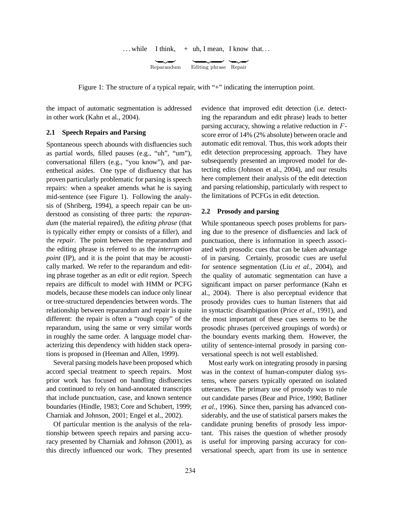$\dots$  while I think,  $+$  uh, I mean, I know that...  $\longrightarrow$ Reparandum  $\longrightarrow$ Editing phrase  $\overline{}$ Repair

Figure 1: The structure of a typical repair, with "+" indicating the interruption point.

the impact of automatic segmentation is addressed in other work (Kahn et al., 2004).

### **2.1 Speech Repairs and Parsing**

Spontaneous speech abounds with disfluencies such as partial words, filled pauses (e.g., "uh", "um"), conversational fillers (e.g., "you know"), and parenthetical asides. One type of disfluency that has proven particularly problematic for parsing is speech repairs: when a speaker amends what he is saying mid-sentence (see Figure 1). Following the analysis of (Shriberg, 1994), a speech repair can be understood as consisting of three parts: the *reparandum* (the material repaired), the *editing phrase* (that is typically either empty or consists of a filler), and the *repair*. The point between the reparandum and the editing phrase is referred to as the *interruption point* (IP), and it is the point that may be acoustically marked. We refer to the reparandum and editing phrase together as an *edit* or *edit region*. Speech repairs are difficult to model with HMM or PCFG models, because these models can induce only linear or tree-structured dependencies between words. The relationship between reparandum and repair is quite different: the repair is often a "rough copy" of the reparandum, using the same or very similar words in roughly the same order. A language model characterizing this dependency with hidden stack operations is proposed in (Heeman and Allen, 1999).

Several parsing models have been proposed which accord special treatment to speech repairs. Most prior work has focused on handling disfluencies and continued to rely on hand-annotated transcripts that include punctuation, case, and known sentence boundaries (Hindle, 1983; Core and Schubert, 1999; Charniak and Johnson, 2001; Engel et al., 2002).

Of particular mention is the analysis of the relationship between speech repairs and parsing accuracy presented by Charniak and Johnson (2001), as this directly influenced our work. They presented evidence that improved edit detection (i.e. detecting the reparandum and edit phrase) leads to better parsing accuracy, showing a relative reduction in Fscore error of 14% (2% absolute) between oracle and automatic edit removal. Thus, this work adopts their edit detection preprocessing approach. They have subsequently presented an improved model for detecting edits (Johnson et al., 2004), and our results here complement their analysis of the edit detection and parsing relationship, particularly with respect to the limitations of PCFGs in edit detection.

### **2.2 Prosody and parsing**

While spontaneous speech poses problems for parsing due to the presence of disfluencies and lack of punctuation, there is information in speech associated with prosodic cues that can be taken advantage of in parsing. Certainly, prosodic cues are useful for sentence segmentation (Liu *et al.*, 2004), and the quality of automatic segmentation can have a significant impact on parser performance (Kahn et al., 2004). There is also perceptual evidence that prosody provides cues to human listeners that aid in syntactic disambiguation (Price *et al.*, 1991), and the most important of these cues seems to be the prosodic phrases (perceived groupings of words) or the boundary events marking them. However, the utility of sentence-internal prosody in parsing conversational speech is not well established.

Most early work on integrating prosody in parsing was in the context of human-computer dialog systems, where parsers typically operated on isolated utterances. The primary use of prosody was to rule out candidate parses (Bear and Price, 1990; Batliner *et al.*, 1996). Since then, parsing has advanced considerably, and the use of statistical parsers makes the candidate pruning benefits of prosody less important. This raises the question of whether prosody is useful for improving parsing accuracy for conversational speech, apart from its use in sentence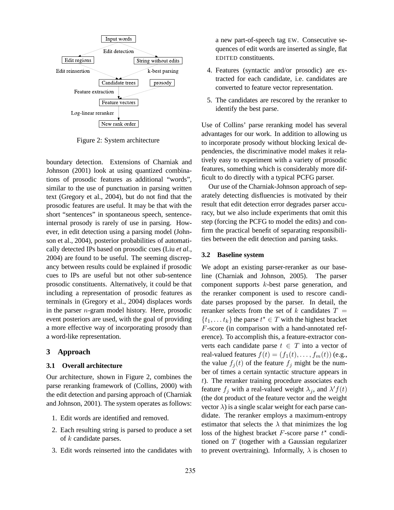

Figure 2: System architecture

boundary detection. Extensions of Charniak and Johnson (2001) look at using quantized combinations of prosodic features as additional "words", similar to the use of punctuation in parsing written text (Gregory et al., 2004), but do not find that the prosodic features are useful. It may be that with the short "sentences" in spontaneous speech, sentenceinternal prosody is rarely of use in parsing. However, in edit detection using a parsing model (Johnson et al., 2004), posterior probabilities of automatically detected IPs based on prosodic cues (Liu *et al.*, 2004) are found to be useful. The seeming discrepancy between results could be explained if prosodic cues to IPs are useful but not other sub-sentence prosodic constituents. Alternatively, it could be that including a representation of prosodic features as terminals in (Gregory et al., 2004) displaces words in the parser  $n$ -gram model history. Here, prosodic event posteriors are used, with the goal of providing a more effective way of incorporating prosody than a word-like representation.

# **3 Approach**

### **3.1 Overall architecture**

Our architecture, shown in Figure 2, combines the parse reranking framework of (Collins, 2000) with the edit detection and parsing approach of (Charniak and Johnson, 2001). The system operates as follows:

- 1. Edit words are identified and removed.
- 2. Each resulting string is parsed to produce a set of k candidate parses.
- 3. Edit words reinserted into the candidates with

a new part-of-speech tag EW. Consecutive sequences of edit words are inserted as single, flat EDITED constituents.

- 4. Features (syntactic and/or prosodic) are extracted for each candidate, i.e. candidates are converted to feature vector representation.
- 5. The candidates are rescored by the reranker to identify the best parse.

Use of Collins' parse reranking model has several advantages for our work. In addition to allowing us to incorporate prosody without blocking lexical dependencies, the discriminative model makes it relatively easy to experiment with a variety of prosodic features, something which is considerably more difficult to do directly with a typical PCFG parser.

Our use of the Charniak-Johnson approach of separately detecting disfluencies is motivated by their result that edit detection error degrades parser accuracy, but we also include experiments that omit this step (forcing the PCFG to model the edits) and confirm the practical benefit of separating responsibilities between the edit detection and parsing tasks.

### **3.2 Baseline system**

We adopt an existing parser-reranker as our baseline (Charniak and Johnson, 2005). The parser component supports k-best parse generation, and the reranker component is used to rescore candidate parses proposed by the parser. In detail, the reranker selects from the set of k candidates  $T =$  $\{t_1, \ldots, t_k\}$  the parse  $t^* \in T$  with the highest bracket F-score (in comparison with a hand-annotated reference). To accomplish this, a feature-extractor converts each candidate parse  $t \in T$  into a vector of real-valued features  $f(t) = (f_1(t), \ldots, f_m(t))$  (e.g., the value  $f_i(t)$  of the feature  $f_i$  might be the number of times a certain syntactic structure appears in  $t$ ). The reranker training procedure associates each feature  $f_j$  with a real-valued weight  $\lambda_j$ , and  $\lambda' f(t)$ (the dot product of the feature vector and the weight vector  $\lambda$ ) is a single scalar weight for each parse candidate. The reranker employs a maximum-entropy estimator that selects the  $\lambda$  that minimizes the log loss of the highest bracket  $F$ -score parse  $t^*$  conditioned on T (together with a Gaussian regularizer to prevent overtraining). Informally,  $\lambda$  is chosen to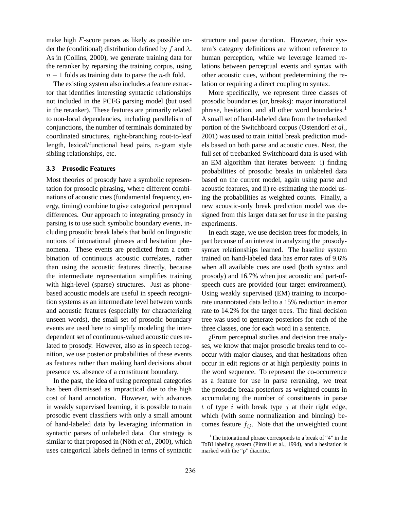make high F-score parses as likely as possible under the (conditional) distribution defined by f and  $\lambda$ . As in (Collins, 2000), we generate training data for the reranker by reparsing the training corpus, using  $n - 1$  folds as training data to parse the *n*-th fold.

The existing system also includes a feature extractor that identifies interesting syntactic relationships not included in the PCFG parsing model (but used in the reranker). These features are primarily related to non-local dependencies, including parallelism of conjunctions, the number of terminals dominated by coordinated structures, right-branching root-to-leaf length, lexical/functional head pairs, n-gram style sibling relationships, etc.

#### **3.3 Prosodic Features**

Most theories of prosody have a symbolic representation for prosodic phrasing, where different combinations of acoustic cues (fundamental frequency, energy, timing) combine to give categorical perceptual differences. Our approach to integrating prosody in parsing is to use such symbolic boundary events, including prosodic break labels that build on linguistic notions of intonational phrases and hesitation phenomena. These events are predicted from a combination of continuous acoustic correlates, rather than using the acoustic features directly, because the intermediate representation simplifies training with high-level (sparse) structures. Just as phonebased acoustic models are useful in speech recognition systems as an intermediate level between words and acoustic features (especially for characterizing unseen words), the small set of prosodic boundary events are used here to simplify modeling the interdependent set of continuous-valued acoustic cues related to prosody. However, also as in speech recognition, we use posterior probabilities of these events as features rather than making hard decisions about presence vs. absence of a constituent boundary.

In the past, the idea of using perceptual categories has been dismissed as impractical due to the high cost of hand annotation. However, with advances in weakly supervised learning, it is possible to train prosodic event classifiers with only a small amount of hand-labeled data by leveraging information in syntactic parses of unlabeled data. Our strategy is similar to that proposed in (Nöth *et al.*, 2000), which uses categorical labels defined in terms of syntactic

structure and pause duration. However, their system's category definitions are without reference to human perception, while we leverage learned relations between perceptual events and syntax with other acoustic cues, without predetermining the relation or requiring a direct coupling to syntax.

More specifically, we represent three classes of prosodic boundaries (or, breaks): major intonational phrase, hesitation, and all other word boundaries.<sup>1</sup> A small set of hand-labeled data from the treebanked portion of the Switchboard corpus (Ostendorf *et al.*, 2001) was used to train initial break prediction models based on both parse and acoustic cues. Next, the full set of treebanked Switchboard data is used with an EM algorithm that iterates between: i) finding probabilities of prosodic breaks in unlabeled data based on the current model, again using parse and acoustic features, and ii) re-estimating the model using the probabilities as weighted counts. Finally, a new acoustic-only break prediction model was designed from this larger data set for use in the parsing experiments.

In each stage, we use decision trees for models, in part because of an interest in analyzing the prosodysyntax relationships learned. The baseline system trained on hand-labeled data has error rates of 9.6% when all available cues are used (both syntax and prosody) and 16.7% when just acoustic and part-ofspeech cues are provided (our target environment). Using weakly supervised (EM) training to incorporate unannotated data led to a 15% reduction in error rate to 14.2% for the target trees. The final decision tree was used to generate posteriors for each of the three classes, one for each word in a sentence.

¿From perceptual studies and decision tree analyses, we know that major prosodic breaks tend to cooccur with major clauses, and that hesitations often occur in edit regions or at high perplexity points in the word sequence. To represent the co-occurrence as a feature for use in parse reranking, we treat the prosodic break posteriors as weighted counts in accumulating the number of constituents in parse  $t$  of type  $i$  with break type  $j$  at their right edge, which (with some normalization and binning) becomes feature  $f_{ij}$ . Note that the unweighted count

<sup>&</sup>lt;sup>1</sup>The intonational phrase corresponds to a break of "4" in the ToBI labeling system (Pitrelli et al., 1994), and a hesitation is marked with the "p" diacritic.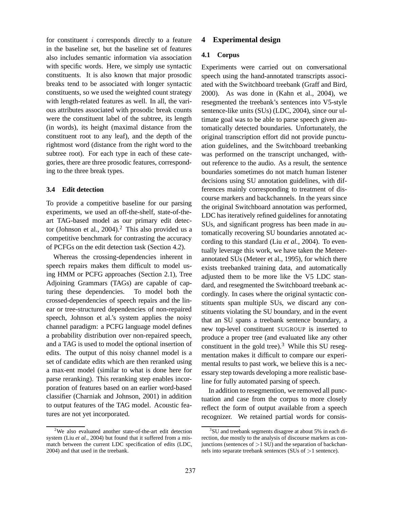for constituent i corresponds directly to a feature in the baseline set, but the baseline set of features also includes semantic information via association with specific words. Here, we simply use syntactic constituents. It is also known that major prosodic breaks tend to be associated with longer syntactic constituents, so we used the weighted count strategy with length-related features as well. In all, the various attributes associated with prosodic break counts were the constituent label of the subtree, its length (in words), its height (maximal distance from the constituent root to any leaf), and the depth of the rightmost word (distance from the right word to the subtree root). For each type in each of these categories, there are three prosodic features, corresponding to the three break types.

#### **3.4 Edit detection**

To provide a competitive baseline for our parsing experiments, we used an off-the-shelf, state-of-theart TAG-based model as our primary edit detector (Johnson et al.,  $2004$ ).<sup>2</sup> This also provided us a competitive benchmark for contrasting the accuracy of PCFGs on the edit detection task (Section 4.2).

Whereas the crossing-dependencies inherent in speech repairs makes them difficult to model using HMM or PCFG approaches (Section 2.1), Tree Adjoining Grammars (TAGs) are capable of capturing these dependencies. To model both the crossed-dependencies of speech repairs and the linear or tree-structured dependencies of non-repaired speech, Johnson et al.'s system applies the noisy channel paradigm: a PCFG language model defines a probability distribution over non-repaired speech, and a TAG is used to model the optional insertion of edits. The output of this noisy channel model is a set of candidate edits which are then reranked using a max-ent model (similar to what is done here for parse reranking). This reranking step enables incorporation of features based on an earlier word-based classifier (Charniak and Johnson, 2001) in addition to output features of the TAG model. Acoustic features are not yet incorporated.

# **4 Experimental design**

# **4.1 Corpus**

Experiments were carried out on conversational speech using the hand-annotated transcripts associated with the Switchboard treebank (Graff and Bird, 2000). As was done in (Kahn et al., 2004), we resegmented the treebank's sentences into V5-style sentence-like units (SUs) (LDC, 2004), since our ultimate goal was to be able to parse speech given automatically detected boundaries. Unfortunately, the original transcription effort did not provide punctuation guidelines, and the Switchboard treebanking was performed on the transcript unchanged, without reference to the audio. As a result, the sentence boundaries sometimes do not match human listener decisions using SU annotation guidelines, with differences mainly corresponding to treatment of discourse markers and backchannels. In the years since the original Switchboard annotation was performed, LDC has iteratively refined guidelines for annotating SUs, and significant progress has been made in automatically recovering SU boundaries annotated according to this standard (Liu *et al.*, 2004). To eventually leverage this work, we have taken the Meteerannotated SUs (Meteer et al., 1995), for which there exists treebanked training data, and automatically adjusted them to be more like the V5 LDC standard, and resegmented the Switchboard treebank accordingly. In cases where the original syntactic constituents span multiple SUs, we discard any constituents violating the SU boundary, and in the event that an SU spans a treebank sentence boundary, a new top-level constituent SUGROUP is inserted to produce a proper tree (and evaluated like any other constituent in the gold tree). $3$  While this SU resegmentation makes it difficult to compare our experimental results to past work, we believe this is a necessary step towards developing a more realistic baseline for fully automated parsing of speech.

In addition to resegmention, we removed all punctuation and case from the corpus to more closely reflect the form of output available from a speech recognizer. We retained partial words for consis-

<sup>2</sup>We also evaluated another state-of-the-art edit detection system (Liu *et al.*, 2004) but found that it suffered from a mismatch between the current LDC specification of edits (LDC, 2004) and that used in the treebank.

<sup>&</sup>lt;sup>3</sup>SU and treebank segments disagree at about 5% in each direction, due mostly to the analysis of discourse markers as conjunctions (sentences of  $>1$  SU) and the separation of backchannels into separate treebank sentences (SUs of >1 sentence).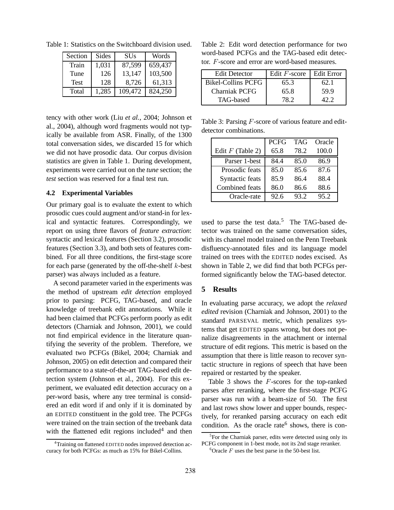| Section | Sides | <b>SUs</b> | Words   |
|---------|-------|------------|---------|
| Train   | 1,031 | 87,599     | 659,437 |
| Tune    | 126   | 13,147     | 103,500 |
| Test    | 128   | 8,726      | 61,313  |
| Total   | 1.285 | 109.472    | 824,250 |

Table 1: Statistics on the Switchboard division used.

tency with other work (Liu *et al.*, 2004; Johnson et al., 2004), although word fragments would not typically be available from ASR. Finally, of the 1300 total conversation sides, we discarded 15 for which we did not have prosodic data. Our corpus division statistics are given in Table 1. During development, experiments were carried out on the *tune* section; the *test* section was reserved for a final test run.

### **4.2 Experimental Variables**

Our primary goal is to evaluate the extent to which prosodic cues could augment and/or stand-in for lexical and syntactic features. Correspondingly, we report on using three flavors of *feature extraction*: syntactic and lexical features (Section 3.2), prosodic features (Section 3.3), and both sets of features combined. For all three conditions, the first-stage score for each parse (generated by the off-the-shelf  $k$ -best parser) was always included as a feature.

A second parameter varied in the experiments was the method of upstream *edit detection* employed prior to parsing: PCFG, TAG-based, and oracle knowledge of treebank edit annotations. While it had been claimed that PCFGs perform poorly as edit detectors (Charniak and Johnson, 2001), we could not find empirical evidence in the literature quantifying the severity of the problem. Therefore, we evaluated two PCFGs (Bikel, 2004; Charniak and Johnson, 2005) on edit detection and compared their performance to a state-of-the-art TAG-based edit detection system (Johnson et al., 2004). For this experiment, we evaluated edit detection accuracy on a per-word basis, where any tree terminal is considered an edit word if and only if it is dominated by an EDITED constituent in the gold tree. The PCFGs were trained on the train section of the treebank data with the flattened edit regions included<sup>4</sup> and then

Table 2: Edit word detection performance for two word-based PCFGs and the TAG-based edit detector. F-score and error are word-based measures.

| <b>Edit Detector</b>      | Edit $F$ -score | Edit Error |  |
|---------------------------|-----------------|------------|--|
| <b>Bikel-Collins PCFG</b> | 65.3            | 62. 1      |  |
| Charniak PCFG             | 65.8            | 59.9       |  |
| TAG-based                 | 78 Z            |            |  |

Table 3: Parsing F-score of various feature and editdetector combinations.

|                    | <b>PCFG</b> | <b>TAG</b> | Oracle |
|--------------------|-------------|------------|--------|
| Edit $F$ (Table 2) | 65.8        | 78.2       | 100.0  |
| Parser 1-best      | 84.4        | 85.0       | 86.9   |
| Prosodic feats     | 85.0        | 85.6       | 87.6   |
| Syntactic feats    | 85.9        | 86.4       | 88.4   |
| Combined feats     | 86.0        | 86.6       | 88.6   |
| Oracle-rate        | 92.6        | 93.2       | 95.2   |

used to parse the test data.<sup>5</sup> The TAG-based detector was trained on the same conversation sides, with its channel model trained on the Penn Treebank disfluency-annotated files and its language model trained on trees with the EDITED nodes excised. As shown in Table 2, we did find that both PCFGs performed significantly below the TAG-based detector.

### **5 Results**

In evaluating parse accuracy, we adopt the *relaxed edited* revision (Charniak and Johnson, 2001) to the standard PARSEVAL metric, which penalizes systems that get EDITED spans wrong, but does not penalize disagreements in the attachment or internal structure of edit regions. This metric is based on the assumption that there is little reason to recover syntactic structure in regions of speech that have been repaired or restarted by the speaker.

Table 3 shows the F-scores for the top-ranked parses after reranking, where the first-stage PCFG parser was run with a beam-size of 50. The first and last rows show lower and upper bounds, respectively, for reranked parsing accuracy on each edit condition. As the oracle rate<sup>6</sup> shows, there is con-

<sup>&</sup>lt;sup>4</sup>Training on flattened EDITED nodes improved detection accuracy for both PCFGs: as much as 15% for Bikel-Collins.

 ${}^{5}$ For the Charniak parser, edits were detected using only its PCFG component in 1-best mode, not its 2nd stage reranker.

 $6$ Oracle F uses the best parse in the 50-best list.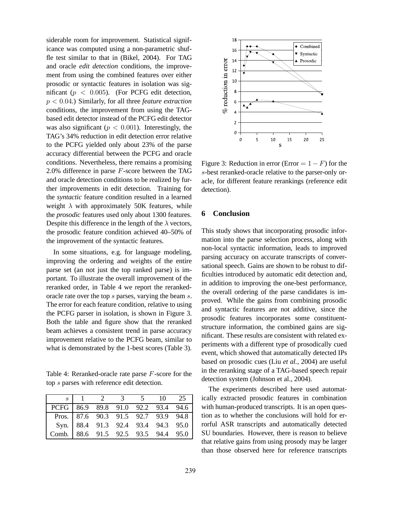siderable room for improvement. Statistical significance was computed using a non-parametric shuffle test similar to that in (Bikel, 2004). For TAG and oracle *edit detection* conditions, the improvement from using the combined features over either prosodic or syntactic features in isolation was significant ( $p < 0.005$ ). (For PCFG edit detection, p < 0.04.) Similarly, for all three *feature extraction* conditions, the improvement from using the TAGbased edit detector instead of the PCFG edit detector was also significant ( $p < 0.001$ ). Interestingly, the TAG's 34% reduction in edit detection error relative to the PCFG yielded only about 23% of the parse accuracy differential between the PCFG and oracle conditions. Nevertheless, there remains a promising 2.0% difference in parse F-score between the TAG and oracle detection conditions to be realized by further improvements in edit detection. Training for the *syntactic* feature condition resulted in a learned weight  $\lambda$  with approximately 50K features, while the *prosodic* features used only about 1300 features. Despite this difference in the length of the  $\lambda$  vectors, the prosodic feature condition achieved 40–50% of the improvement of the syntactic features.

In some situations, e.g. for language modeling, improving the ordering and weights of the entire parse set (an not just the top ranked parse) is important. To illustrate the overall improvement of the reranked order, in Table 4 we report the rerankedoracle rate over the top s parses, varying the beam s. The error for each feature condition, relative to using the PCFG parser in isolation, is shown in Figure 3. Both the table and figure show that the reranked beam achieves a consistent trend in parse accuracy improvement relative to the PCFG beam, similar to what is demonstrated by the 1-best scores (Table 3).

Table 4: Reranked-oracle rate parse F-score for the top s parses with reference edit detection.

|                                                                                                                  | s 1 2 3 5 10 25 |  |  |  |
|------------------------------------------------------------------------------------------------------------------|-----------------|--|--|--|
| PCFG 86.9 89.8 91.0 92.2 93.4 94.6                                                                               |                 |  |  |  |
|                                                                                                                  |                 |  |  |  |
|                                                                                                                  |                 |  |  |  |
| Pros. 87.6 90.3 91.5 92.7 93.9 94.8<br>Syn. 88.4 91.3 92.4 93.4 94.3 95.0<br>Comb. 88.6 91.5 92.5 93.5 94.4 95.0 |                 |  |  |  |



Figure 3: Reduction in error (Error  $= 1 - F$ ) for the s-best reranked-oracle relative to the parser-only oracle, for different feature rerankings (reference edit detection).

# **6 Conclusion**

This study shows that incorporating prosodic information into the parse selection process, along with non-local syntactic information, leads to improved parsing accuracy on accurate transcripts of conversational speech. Gains are shown to be robust to difficulties introduced by automatic edit detection and, in addition to improving the one-best performance, the overall ordering of the parse candidates is improved. While the gains from combining prosodic and syntactic features are not additive, since the prosodic features incorporates some constituentstructure information, the combined gains are significant. These results are consistent with related experiments with a different type of prosodically cued event, which showed that automatically detected IPs based on prosodic cues (Liu *et al.*, 2004) are useful in the reranking stage of a TAG-based speech repair detection system (Johnson et al., 2004).

The experiments described here used automatically extracted prosodic features in combination with human-produced transcripts. It is an open question as to whether the conclusions will hold for errorful ASR transcripts and automatically detected SU boundaries. However, there is reason to believe that relative gains from using prosody may be larger than those observed here for reference transcripts